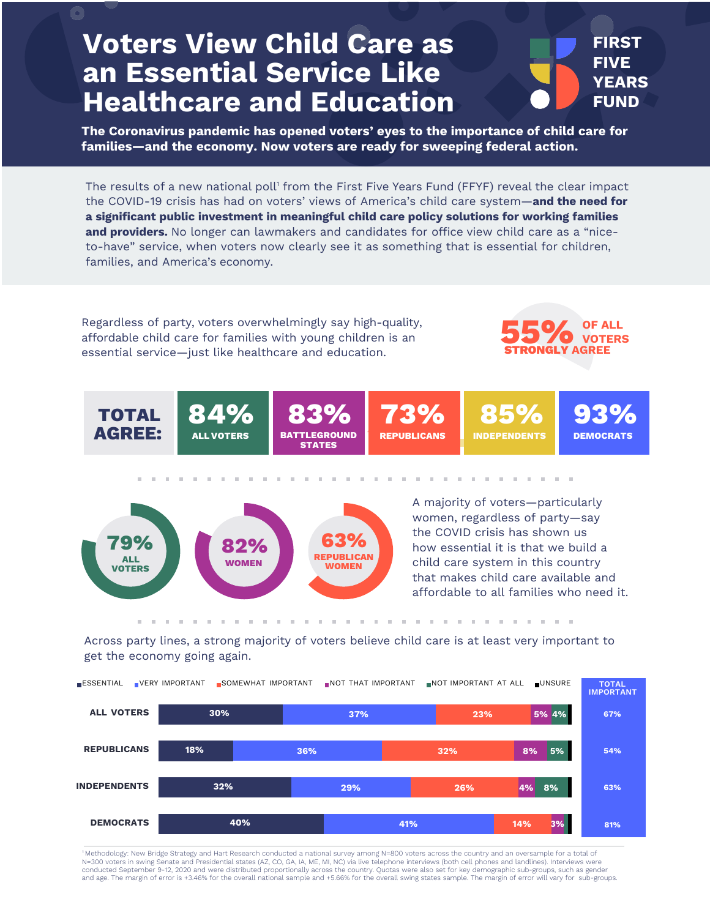## **Voters View Child Care as an Essential Service Like Healthcare and Education**

 $\bigcirc$ 



**The Coronavirus pandemic has opened voters' eyes to the importance of child care for families—and the economy. Now voters are ready for sweeping federal action.**

The results of a new national poll<sup>1</sup> from the First Five Years Fund (FFYF) reveal the clear impact the COVID-19 crisis has had on voters' views of America's child care system—**and the need for a significant public investment in meaningful child care policy solutions for working families and providers.** No longer can lawmakers and candidates for office view child care as a "niceto-have" service, when voters now clearly see it as something that is essential for children, families, and America's economy.

Regardless of party, voters overwhelmingly say high-quality, affordable child care for families with young children is an essential service—just like healthcare and education.







A majority of voters—particularly women, regardless of party—say the COVID crisis has shown us how essential it is that we build a child care system in this country that makes child care available and affordable to all families who need it.

Across party lines, a strong majority of voters believe child care is at least very important to get the economy going again.



1 Methodology: New Bridge Strategy and Hart Research conducted a national survey among N=800 voters across the country and an oversample for a total of N=300 voters in swing Senate and Presidential states (AZ, CO, GA, IA, ME, MI, NC) via live telephone interviews (both cell phones and landlines). Interviews were conducted September 9-12, 2020 and were distributed proportionally across the country. Quotas were also set for key demographic sub-groups, such as gender<br>and age. The margin of error is +3.46% for the overall national sam